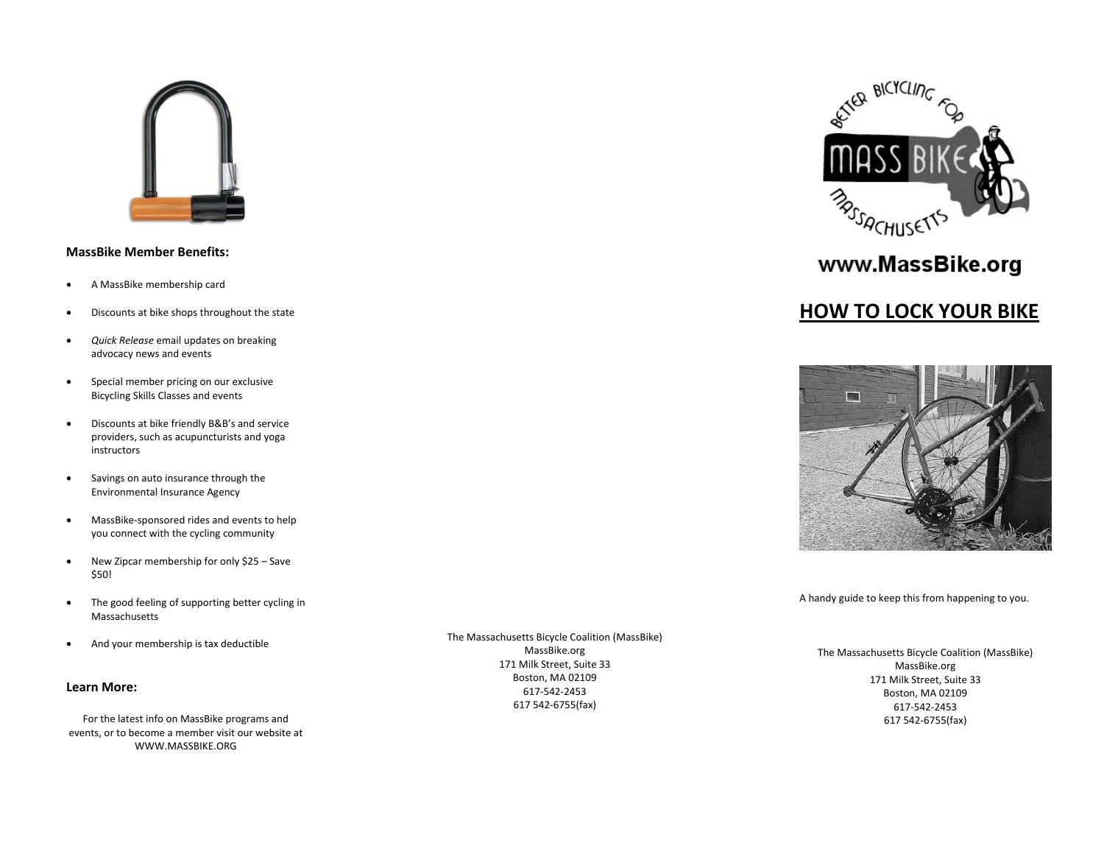

# **MassBike Member Benefits:**

- $\bullet$ A MassBike membership card
- $\bullet$ Discounts at bike shops throughout the state
- $\bullet$  *Quick Release* email updates on breaking advocacy news and events
- $\bullet$  Special member pricing on our exclusive Bicycling Skills Classes and events
- $\bullet$  Discounts at bike friendly B&B's and service providers, such as acupuncturists and yoga instructors
- $\bullet$  Savings on auto insurance through the Environmental Insurance Agency
- $\bullet$  MassBike‐sponsored rides and events to help you connect with the cycling community
- $\bullet$  New Zipcar membership for only \$25 – Save \$50!
- $\bullet$  The good feeling of supporting better cycling in Massachusetts
- $\bullet$ And your membership is tax deductible

### **Learn More:**

For the latest info on MassBike programs and events, or to become <sup>a</sup> member visit our website at WWW.MASSBIKE.ORG

The Massachusetts Bicycle Coalition (MassBike) MassBike.org 171 Milk Street, Suite 33 Boston, MA 02109 617‐542‐2453617 542‐6755(fax)



# www.MassBike.org

# **HOW TO LOCK YOUR BIKE**



A handy guide to keep this from happening to you.

The Massachusetts Bicycle Coalition (MassBike) MassBike.org 171 Milk Street, Suite 33 Boston, MA 02109 617‐542‐2453617 542‐6755(fax)